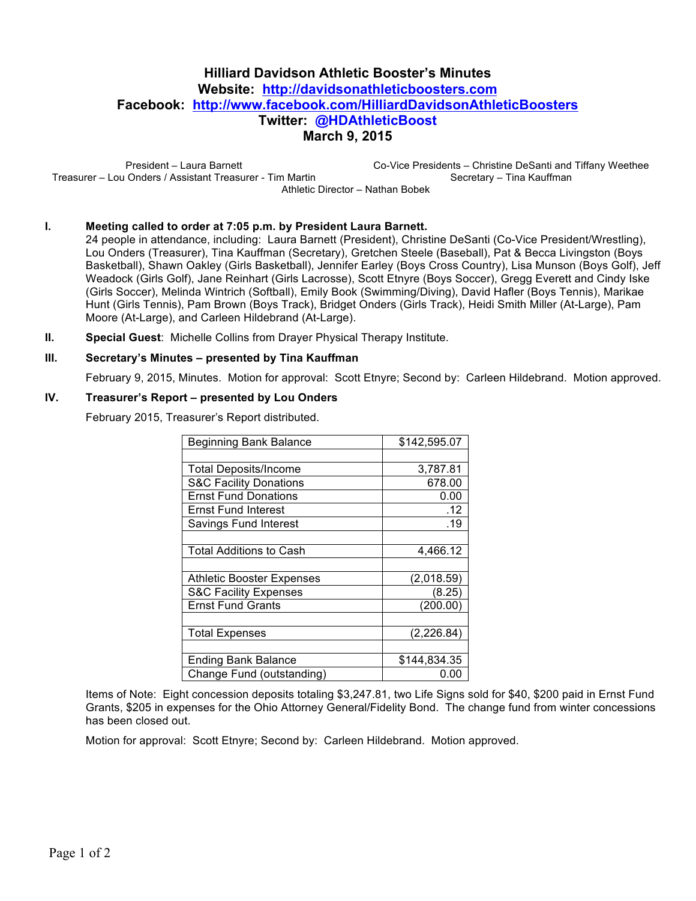# **Hilliard Davidson Athletic Booster's Minutes Website: http://davidsonathleticboosters.com Facebook: http://www.facebook.com/HilliardDavidsonAthleticBoosters Twitter: @HDAthleticBoost March 9, 2015**

President – Laura Barnett Treasurer – Lou Onders / Assistant Treasurer - Tim Martin Co-Vice Presidents – Christine DeSanti and Tiffany Weethee Secretary – Tina Kauffman Athletic Director – Nathan Bobek

### **I. Meeting called to order at 7:05 p.m. by President Laura Barnett.**

24 people in attendance, including: Laura Barnett (President), Christine DeSanti (Co-Vice President/Wrestling), Lou Onders (Treasurer), Tina Kauffman (Secretary), Gretchen Steele (Baseball), Pat & Becca Livingston (Boys Basketball), Shawn Oakley (Girls Basketball), Jennifer Earley (Boys Cross Country), Lisa Munson (Boys Golf), Jeff Weadock (Girls Golf), Jane Reinhart (Girls Lacrosse), Scott Etnyre (Boys Soccer), Gregg Everett and Cindy Iske (Girls Soccer), Melinda Wintrich (Softball), Emily Book (Swimming/Diving), David Hafler (Boys Tennis), Marikae Hunt (Girls Tennis), Pam Brown (Boys Track), Bridget Onders (Girls Track), Heidi Smith Miller (At-Large), Pam Moore (At-Large), and Carleen Hildebrand (At-Large).

**II. Special Guest**: Michelle Collins from Drayer Physical Therapy Institute.

#### **III. Secretary's Minutes – presented by Tina Kauffman**

February 9, 2015, Minutes. Motion for approval: Scott Etnyre; Second by: Carleen Hildebrand. Motion approved.

#### **IV. Treasurer's Report – presented by Lou Onders**

February 2015, Treasurer's Report distributed.

| <b>Beginning Bank Balance</b>     | \$142,595.07 |
|-----------------------------------|--------------|
|                                   |              |
| <b>Total Deposits/Income</b>      | 3,787.81     |
| <b>S&amp;C Facility Donations</b> | 678.00       |
| <b>Ernst Fund Donations</b>       | 0.00         |
| <b>Ernst Fund Interest</b>        | .12          |
| Savings Fund Interest             | .19          |
|                                   |              |
| <b>Total Additions to Cash</b>    | 4,466.12     |
|                                   |              |
| <b>Athletic Booster Expenses</b>  | (2,018.59)   |
| <b>S&amp;C Facility Expenses</b>  | (8.25)       |
| <b>Ernst Fund Grants</b>          | (200.00)     |
|                                   |              |
| <b>Total Expenses</b>             | (2, 226.84)  |
|                                   |              |
| <b>Ending Bank Balance</b>        | \$144,834.35 |
| Change Fund (outstanding)         | 0.00         |

Items of Note: Eight concession deposits totaling \$3,247.81, two Life Signs sold for \$40, \$200 paid in Ernst Fund Grants, \$205 in expenses for the Ohio Attorney General/Fidelity Bond. The change fund from winter concessions has been closed out.

Motion for approval: Scott Etnyre; Second by: Carleen Hildebrand. Motion approved.